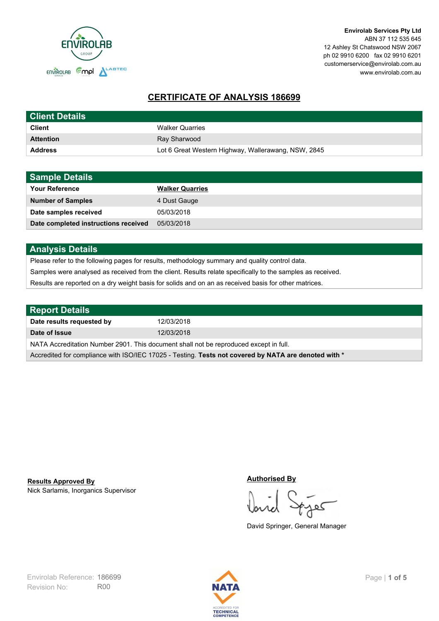

# **CERTIFICATE OF ANALYSIS 186699**

| <b>Client Details</b> |                                                     |
|-----------------------|-----------------------------------------------------|
| <b>Client</b>         | <b>Walker Quarries</b>                              |
| <b>Attention</b>      | Ray Sharwood                                        |
| <b>Address</b>        | Lot 6 Great Western Highway, Wallerawang, NSW, 2845 |

| <b>Sample Details</b>                |                        |
|--------------------------------------|------------------------|
| <b>Your Reference</b>                | <b>Walker Quarries</b> |
| <b>Number of Samples</b>             | 4 Dust Gauge           |
| Date samples received                | 05/03/2018             |
| Date completed instructions received | 05/03/2018             |

## **Analysis Details**

Please refer to the following pages for results, methodology summary and quality control data.

Samples were analysed as received from the client. Results relate specifically to the samples as received.

Results are reported on a dry weight basis for solids and on an as received basis for other matrices.

| <b>Report Details</b>                                                                                |            |  |
|------------------------------------------------------------------------------------------------------|------------|--|
| Date results requested by                                                                            | 12/03/2018 |  |
| Date of Issue                                                                                        | 12/03/2018 |  |
| NATA Accreditation Number 2901. This document shall not be reproduced except in full.                |            |  |
| Accredited for compliance with ISO/IEC 17025 - Testing. Tests not covered by NATA are denoted with * |            |  |

Nick Sarlamis, Inorganics Supervisor **Results Approved By**

#### **Authorised By**

کھ

David Springer, General Manager

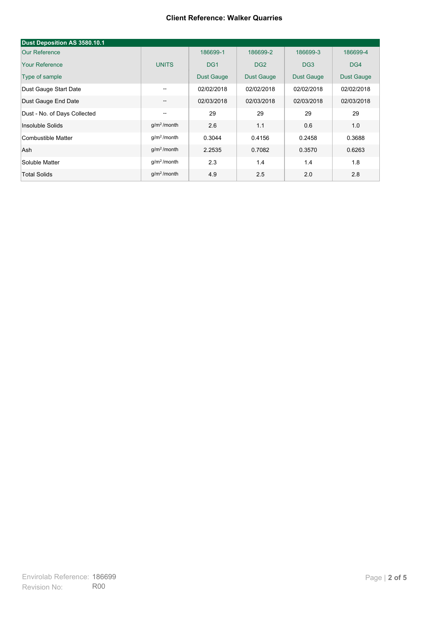#### **Client Reference: Walker Quarries**

| Dust Deposition AS 3580.10.1 |                         |                   |                   |                   |                   |
|------------------------------|-------------------------|-------------------|-------------------|-------------------|-------------------|
| Our Reference                |                         | 186699-1          | 186699-2          | 186699-3          | 186699-4          |
| <b>Your Reference</b>        | <b>UNITS</b>            | DG <sub>1</sub>   | DG <sub>2</sub>   | DG <sub>3</sub>   | DG4               |
| Type of sample               |                         | <b>Dust Gauge</b> | <b>Dust Gauge</b> | <b>Dust Gauge</b> | <b>Dust Gauge</b> |
| Dust Gauge Start Date        | --                      | 02/02/2018        | 02/02/2018        | 02/02/2018        | 02/02/2018        |
| Dust Gauge End Date          | $\qquad \qquad -$       | 02/03/2018        | 02/03/2018        | 02/03/2018        | 02/03/2018        |
| Dust - No. of Days Collected | --                      | 29                | 29                | 29                | 29                |
| Insoluble Solids             | g/m <sup>2</sup> /month | 2.6               | 1.1               | 0.6               | 1.0               |
| Combustible Matter           | $q/m2$ /month           | 0.3044            | 0.4156            | 0.2458            | 0.3688            |
| Ash                          | $q/m2$ /month           | 2.2535            | 0.7082            | 0.3570            | 0.6263            |
| Soluble Matter               | q/m <sup>2</sup> /month | 2.3               | 1.4               | 1.4               | 1.8               |
| <b>Total Solids</b>          | g/m <sup>2</sup> /month | 4.9               | 2.5               | 2.0               | 2.8               |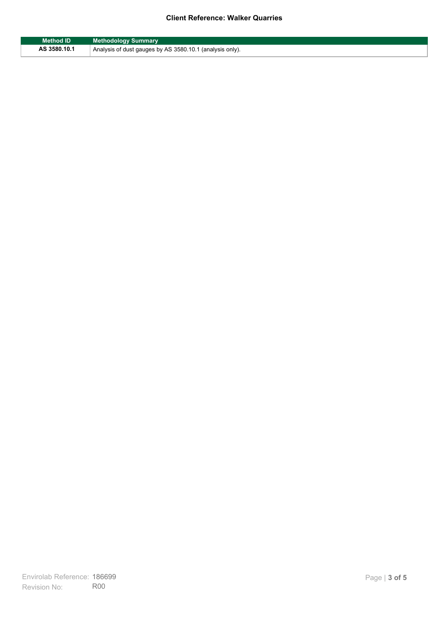### **Client Reference: Walker Quarries**

| <b>Method ID</b> | <b>Methodology Summary</b>                               |
|------------------|----------------------------------------------------------|
| AS 3580.10.1     | Analysis of dust gauges by AS 3580.10.1 (analysis only). |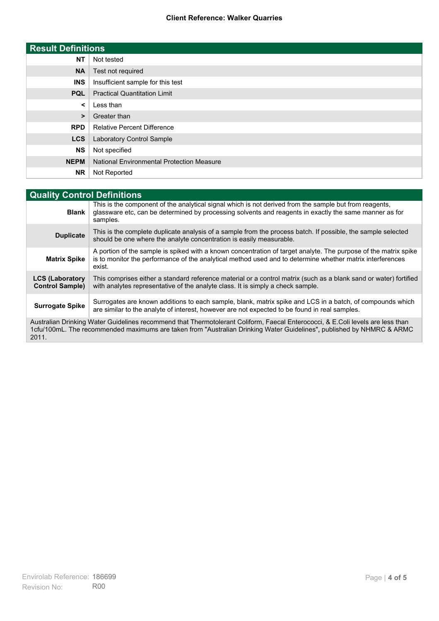#### **Client Reference: Walker Quarries**

| <b>Result Definitions</b> |                                                  |
|---------------------------|--------------------------------------------------|
| <b>NT</b>                 | Not tested                                       |
| <b>NA</b>                 | Test not required                                |
| <b>INS</b>                | Insufficient sample for this test                |
| <b>PQL</b>                | <b>Practical Quantitation Limit</b>              |
| ≺                         | Less than                                        |
| >                         | Greater than                                     |
| <b>RPD</b>                | <b>Relative Percent Difference</b>               |
| <b>LCS</b>                | Laboratory Control Sample                        |
| <b>NS</b>                 | Not specified                                    |
| <b>NEPM</b>               | <b>National Environmental Protection Measure</b> |
| <b>NR</b>                 | Not Reported                                     |

| <b>Quality Control Definitions</b>                                                                                                                                                                                                                      |                                                                                                                                                                                                                                        |  |
|---------------------------------------------------------------------------------------------------------------------------------------------------------------------------------------------------------------------------------------------------------|----------------------------------------------------------------------------------------------------------------------------------------------------------------------------------------------------------------------------------------|--|
| <b>Blank</b>                                                                                                                                                                                                                                            | This is the component of the analytical signal which is not derived from the sample but from reagents,<br>glassware etc, can be determined by processing solvents and reagents in exactly the same manner as for<br>samples.           |  |
| <b>Duplicate</b>                                                                                                                                                                                                                                        | This is the complete duplicate analysis of a sample from the process batch. If possible, the sample selected<br>should be one where the analyte concentration is easily measurable.                                                    |  |
| <b>Matrix Spike</b>                                                                                                                                                                                                                                     | A portion of the sample is spiked with a known concentration of target analyte. The purpose of the matrix spike<br>is to monitor the performance of the analytical method used and to determine whether matrix interferences<br>exist. |  |
| <b>LCS (Laboratory</b><br><b>Control Sample)</b>                                                                                                                                                                                                        | This comprises either a standard reference material or a control matrix (such as a blank sand or water) fortified<br>with analytes representative of the analyte class. It is simply a check sample.                                   |  |
| <b>Surrogate Spike</b>                                                                                                                                                                                                                                  | Surrogates are known additions to each sample, blank, matrix spike and LCS in a batch, of compounds which<br>are similar to the analyte of interest, however are not expected to be found in real samples.                             |  |
| Australian Drinking Water Guidelines recommend that Thermotolerant Coliform, Faecal Enterococci, & E.Coli levels are less than<br>1cfu/100mL. The recommended maximums are taken from "Australian Drinking Water Guidelines", published by NHMRC & ARMC |                                                                                                                                                                                                                                        |  |

2011.